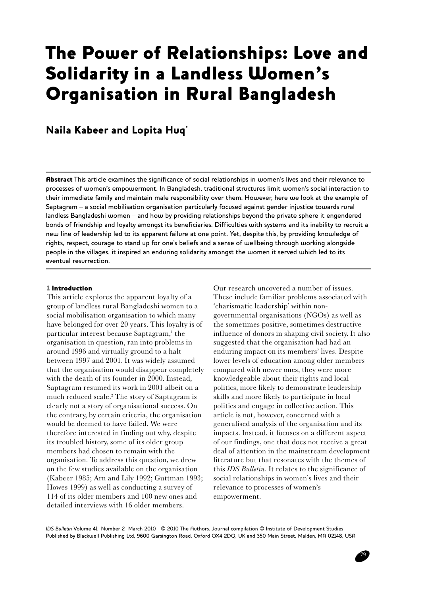# The Power of Relationships: Love and Solidarity in a Landless Women's Organisation in Rural Bangladesh

Naila Kabeer and Lopita Huq\*

Abstract This article examines the significance of social relationships in women's lives and their relevance to processes of women's empowerment. In Bangladesh, traditional structures limit women's social interaction to their immediate family and maintain male responsibility over them. However, here we look at the example of Saptagram – a social mobilisation organisation particularly focused against gender injustice towards rural landless Bangladeshi women – and how by providing relationships beyond the private sphere it engendered bonds of friendship and loyalty amongst its beneficiaries. Difficulties with systems and its inability to recruit a new line of leadership led to its apparent failure at one point. Yet, despite this, by providing knowledge of rights, respect, courage to stand up for one's beliefs and a sense of wellbeing through working alongside people in the villages, it inspired an enduring solidarity amongst the women it served which led to its eventual resurrection.

#### 1 Introduction

This article explores the apparent loyalty of a group of landless rural Bangladeshi women to a social mobilisation organisation to which many have belonged for over 20 years. This loyalty is of particular interest because Saptagram,<sup>1</sup> the organisation in question, ran into problems in around 1996 and virtually ground to a halt between 1997 and 2001. It was widely assumed that the organisation would disappear completely with the death of its founder in 2000. Instead, Saptagram resumed its work in 2001 albeit on a much reduced scale.2 The story of Saptagram is clearly not a story of organisational success. On the contrary, by certain criteria, the organisation would be deemed to have failed. We were therefore interested in finding out why, despite its troubled history, some of its older group members had chosen to remain with the organisation. To address this question, we drew on the few studies available on the organisation (Kabeer 1985; Arn and Lily 1992; Guttman 1993; Howes 1999) as well as conducting a survey of 114 of its older members and 100 new ones and detailed interviews with 16 older members.

Our research uncovered a number of issues. These include familiar problems associated with 'charismatic leadership' within nongovernmental organisations (NGOs) as well as the sometimes positive, sometimes destructive influence of donors in shaping civil society. It also suggested that the organisation had had an enduring impact on its members' lives. Despite lower levels of education among older members compared with newer ones, they were more knowledgeable about their rights and local politics, more likely to demonstrate leadership skills and more likely to participate in local politics and engage in collective action. This article is not, however, concerned with a generalised analysis of the organisation and its impacts. Instead, it focuses on a different aspect of our findings, one that does not receive a great deal of attention in the mainstream development literature but that resonates with the themes of this *IDS Bulletin*. It relates to the significance of social relationships in women's lives and their relevance to processes of women's empowerment.

*IDS Bulletin* Volume 41 Number 2 March 2010 © 2010 The Authors. Journal compilation © Institute of Development Studies Published by Blackwell Publishing Ltd, 9600 Garsington Road, Oxford OX4 2DQ, UK and 350 Main Street, Malden, MA 02148, USA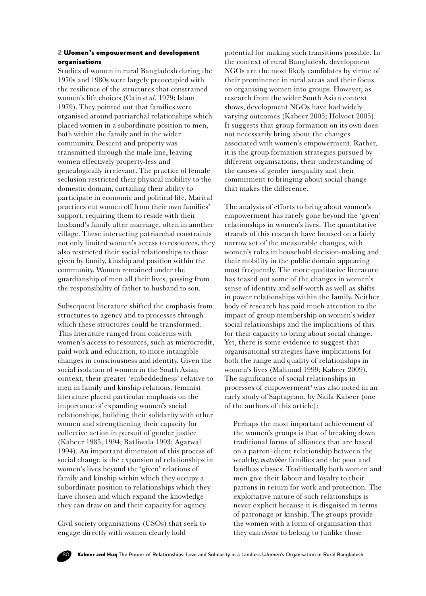## 2 Women's empowerment and development organisations

Studies of women in rural Bangladesh during the 1970s and 1980s were largely preoccupied with the resilience of the structures that constrained women's life choices (Cain *et al.* 1979; Islam 1979). They pointed out that families were organised around patriarchal relationships which placed women in a subordinate position to men, both within the family and in the wider community. Descent and property was transmitted through the male line, leaving women effectively property-less and genealogically irrelevant. The practice of female seclusion restricted their physical mobility to the domestic domain, curtailing their ability to participate in economic and political life. Marital practices cut women off from their own families' support, requiring them to reside with their husband's family after marriage, often in another village. These interacting patriarchal constraints not only limited women's access to resources, they also restricted their social relationships to those given by family, kinship and position within the community. Women remained under the guardianship of men all their lives, passing from the responsibility of father to husband to son.

Subsequent literature shifted the emphasis from structures to agency and to processes through which these structures could be transformed. This literature ranged from concerns with women's access to resources, such as microcredit, paid work and education, to more intangible changes in consciousness and identity. Given the social isolation of women in the South Asian context, their greater 'embeddedness' relative to men in family and kinship relations, feminist literature placed particular emphasis on the importance of expanding women's social relationships, building their solidarity with other women and strengthening their capacity for collective action in pursuit of gender justice (Kabeer 1985, 1994; Batliwala 1993; Agarwal 1994). An important dimension of this process of social change is the expansion of relationships in women's lives beyond the 'given' relations of family and kinship within which they occupy a subordinate position to relationships which they have chosen and which expand the knowledge they can draw on and their capacity for agency.

Civil society organisations (CSOs) that seek to engage directly with women clearly hold

potential for making such transitions possible. In the context of rural Bangladesh, development NGOs are the most likely candidates by virtue of their prominence in rural areas and their focus on organising women into groups. However, as research from the wider South Asian context shows, development NGOs have had widely varying outcomes (Kabeer 2005; Holvoet 2005). It suggests that group formation on its own does not necessarily bring about the changes associated with women's empowerment. Rather, it is the group formation strategies pursued by different organisations, their understanding of the causes of gender inequality and their commitment to bringing about social change that makes the difference.

The analysis of efforts to bring about women's empowerment has rarely gone beyond the 'given' relationships in women's lives. The quantitative strands of this research have focused on a fairly narrow set of the measurable changes, with women's roles in household decision-making and their mobility in the public domain appearing most frequently. The more qualitative literature has teased out some of the changes in women's sense of identity and self-worth as well as shifts in power relationships within the family. Neither body of research has paid much attention to the impact of group membership on women's wider social relationships and the implications of this for their capacity to bring about social change. Yet, there is some evidence to suggest that organisational strategies have implications for both the range and quality of relationships in women's lives (Mahmud 1999; Kabeer 2009). The significance of social relationships in processes of empowerment<sup>3</sup> was also noted in an early study of Saptagram, by Naila Kabeer (one of the authors of this article):

Perhaps the most important achievement of the women's groups is that of breaking down traditional forms of alliances that are based on a patron–client relationship between the wealthy, *matabbar* families and the poor and landless classes. Traditionally both women and men give their labour and loyalty to their patrons in return for work and protection. The exploitative nature of such relationships is never explicit because it is disguised in terms of patronage or kinship. The groups provide the women with a form of organisation that they can *choose* to belong to (unlike those

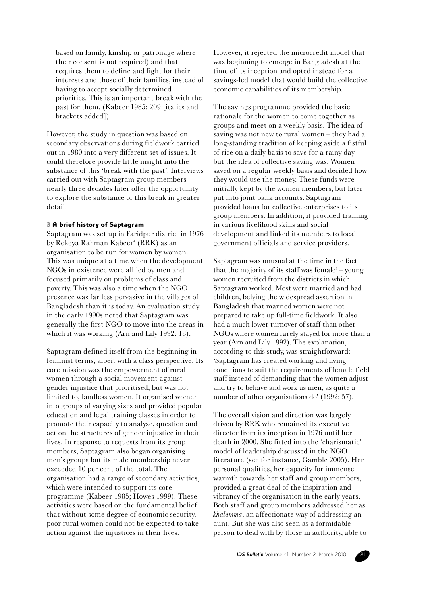based on family, kinship or patronage where their consent is not required) and that requires them to define and fight for their interests and those of their families, instead of having to accept socially determined priorities. This is an important break with the past for them. (Kabeer 1985: 209 [italics and brackets added])

However, the study in question was based on secondary observations during fieldwork carried out in 1980 into a very different set of issues. It could therefore provide little insight into the substance of this 'break with the past'. Interviews carried out with Saptagram group members nearly three decades later offer the opportunity to explore the substance of this break in greater detail.

#### 3 A brief history of Saptagram

Saptagram was set up in Faridpur district in 1976 by Rokeya Rahman Kabeer<sup>4</sup> (RRK) as an organisation to be run for women by women. This was unique at a time when the development NGOs in existence were all led by men and focused primarily on problems of class and poverty. This was also a time when the NGO presence was far less pervasive in the villages of Bangladesh than it is today. An evaluation study in the early 1990s noted that Saptagram was generally the first NGO to move into the areas in which it was working (Arn and Lily 1992: 18).

Saptagram defined itself from the beginning in feminist terms, albeit with a class perspective. Its core mission was the empowerment of rural women through a social movement against gender injustice that prioritised, but was not limited to, landless women. It organised women into groups of varying sizes and provided popular education and legal training classes in order to promote their capacity to analyse, question and act on the structures of gender injustice in their lives. In response to requests from its group members, Saptagram also began organising men's groups but its male membership never exceeded 10 per cent of the total. The organisation had a range of secondary activities, which were intended to support its core programme (Kabeer 1985; Howes 1999). These activities were based on the fundamental belief that without some degree of economic security, poor rural women could not be expected to take action against the injustices in their lives.

However, it rejected the microcredit model that was beginning to emerge in Bangladesh at the time of its inception and opted instead for a savings-led model that would build the collective economic capabilities of its membership.

The savings programme provided the basic rationale for the women to come together as groups and meet on a weekly basis. The idea of saving was not new to rural women – they had a long-standing tradition of keeping aside a fistful of rice on a daily basis to save for a rainy day – but the idea of collective saving was. Women saved on a regular weekly basis and decided how they would use the money. These funds were initially kept by the women members, but later put into joint bank accounts. Saptagram provided loans for collective enterprises to its group members. In addition, it provided training in various livelihood skills and social development and linked its members to local government officials and service providers.

Saptagram was unusual at the time in the fact that the majority of its staff was female<sup>5</sup> – young women recruited from the districts in which Saptagram worked. Most were married and had children, belying the widespread assertion in Bangladesh that married women were not prepared to take up full-time fieldwork. It also had a much lower turnover of staff than other NGOs where women rarely stayed for more than a year (Arn and Lily 1992). The explanation, according to this study, was straightforward: 'Saptagram has created working and living conditions to suit the requirements of female field staff instead of demanding that the women adjust and try to behave and work as men, as quite a number of other organisations do' (1992: 57).

The overall vision and direction was largely driven by RRK who remained its executive director from its inception in 1976 until her death in 2000. She fitted into the 'charismatic' model of leadership discussed in the NGO literature (see for instance, Gamble 2005). Her personal qualities, her capacity for immense warmth towards her staff and group members, provided a great deal of the inspiration and vibrancy of the organisation in the early years. Both staff and group members addressed her as *khalamma*, an affectionate way of addressing an aunt. But she was also seen as a formidable person to deal with by those in authority, able to

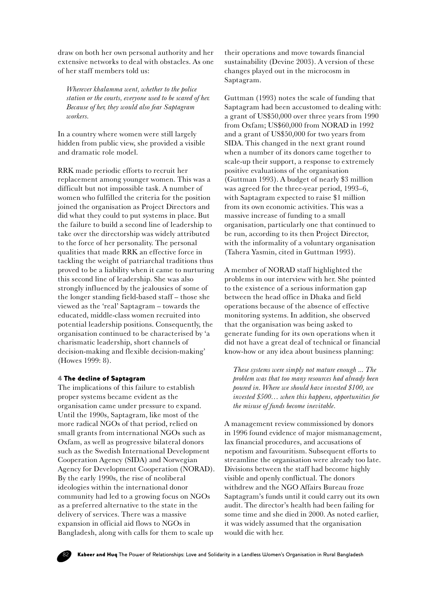draw on both her own personal authority and her extensive networks to deal with obstacles. As one of her staff members told us:

*Wherever khalamma went, whether to the police station or the courts, everyone used to be scared of her. Because of her, they would also fear Saptagram workers.*

In a country where women were still largely hidden from public view, she provided a visible and dramatic role model.

RRK made periodic efforts to recruit her replacement among younger women. This was a difficult but not impossible task. A number of women who fulfilled the criteria for the position joined the organisation as Project Directors and did what they could to put systems in place. But the failure to build a second line of leadership to take over the directorship was widely attributed to the force of her personality. The personal qualities that made RRK an effective force in tackling the weight of patriarchal traditions thus proved to be a liability when it came to nurturing this second line of leadership. She was also strongly influenced by the jealousies of some of the longer standing field-based staff – those she viewed as the 'real' Saptagram – towards the educated, middle-class women recruited into potential leadership positions. Consequently, the organisation continued to be characterised by 'a charismatic leadership, short channels of decision-making and flexible decision-making' (Howes 1999: 8).

## 4 The decline of Saptagram

The implications of this failure to establish proper systems became evident as the organisation came under pressure to expand. Until the 1990s, Saptagram, like most of the more radical NGOs of that period, relied on small grants from international NGOs such as Oxfam, as well as progressive bilateral donors such as the Swedish International Development Cooperation Agency (SIDA) and Norwegian Agency for Development Cooperation (NORAD). By the early 1990s, the rise of neoliberal ideologies within the international donor community had led to a growing focus on NGOs as a preferred alternative to the state in the delivery of services. There was a massive expansion in official aid flows to NGOs in Bangladesh, along with calls for them to scale up

their operations and move towards financial sustainability (Devine 2003). A version of these changes played out in the microcosm in Saptagram.

Guttman (1993) notes the scale of funding that Saptagram had been accustomed to dealing with: a grant of US\$50,000 over three years from 1990 from Oxfam; US\$60,000 from NORAD in 1992 and a grant of US\$50,000 for two years from SIDA. This changed in the next grant round when a number of its donors came together to scale-up their support, a response to extremely positive evaluations of the organisation (Guttman 1993). A budget of nearly \$3 million was agreed for the three-year period, 1993–6, with Saptagram expected to raise \$1 million from its own economic activities. This was a massive increase of funding to a small organisation, particularly one that continued to be run, according to its then Project Director, with the informality of a voluntary organisation (Tahera Yasmin, cited in Guttman 1993).

A member of NORAD staff highlighted the problems in our interview with her. She pointed to the existence of a serious information gap between the head office in Dhaka and field operations because of the absence of effective monitoring systems. In addition, she observed that the organisation was being asked to generate funding for its own operations when it did not have a great deal of technical or financial know-how or any idea about business planning:

*These systems were simply not mature enough ... The problem was that too many resources had already been poured in. Where we should have invested \$100, we invested \$500… when this happens, opportunities for the misuse of funds become inevitable.*

A management review commissioned by donors in 1996 found evidence of major mismanagement, lax financial procedures, and accusations of nepotism and favouritism. Subsequent efforts to streamline the organisation were already too late. Divisions between the staff had become highly visible and openly conflictual. The donors withdrew and the NGO Affairs Bureau froze Saptagram's funds until it could carry out its own audit. The director's health had been failing for some time and she died in 2000. As noted earlier, it was widely assumed that the organisation would die with her.

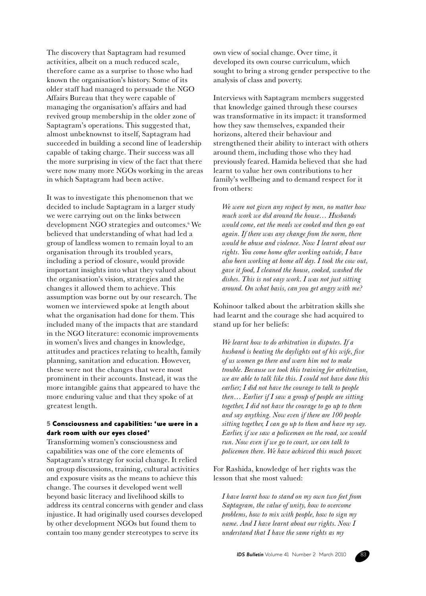The discovery that Saptagram had resumed activities, albeit on a much reduced scale, therefore came as a surprise to those who had known the organisation's history. Some of its older staff had managed to persuade the NGO Affairs Bureau that they were capable of managing the organisation's affairs and had revived group membership in the older zone of Saptagram's operations. This suggested that, almost unbeknownst to itself, Saptagram had succeeded in building a second line of leadership capable of taking charge. Their success was all the more surprising in view of the fact that there were now many more NGOs working in the areas in which Saptagram had been active.

It was to investigate this phenomenon that we decided to include Saptagram in a larger study we were carrying out on the links between development NGO strategies and outcomes.<sup>6</sup> We believed that understanding of what had led a group of landless women to remain loyal to an organisation through its troubled years, including a period of closure, would provide important insights into what they valued about the organisation's vision, strategies and the changes it allowed them to achieve. This assumption was borne out by our research. The women we interviewed spoke at length about what the organisation had done for them. This included many of the impacts that are standard in the NGO literature: economic improvements in women's lives and changes in knowledge, attitudes and practices relating to health, family planning, sanitation and education. However, these were not the changes that were most prominent in their accounts. Instead, it was the more intangible gains that appeared to have the more enduring value and that they spoke of at greatest length.

## 5 Consciousness and capabilities: 'we were in a dark room with our eyes closed'

Transforming women's consciousness and capabilities was one of the core elements of Saptagram's strategy for social change. It relied on group discussions, training, cultural activities and exposure visits as the means to achieve this change. The courses it developed went well beyond basic literacy and livelihood skills to address its central concerns with gender and class injustice. It had originally used courses developed by other development NGOs but found them to contain too many gender stereotypes to serve its

own view of social change. Over time, it developed its own course curriculum, which sought to bring a strong gender perspective to the analysis of class and poverty.

Interviews with Saptagram members suggested that knowledge gained through these courses was transformative in its impact: it transformed how they saw themselves, expanded their horizons, altered their behaviour and strengthened their ability to interact with others around them, including those who they had previously feared. Hamida believed that she had learnt to value her own contributions to her family's wellbeing and to demand respect for it from others:

*We were not given any respect by men, no matter how much work we did around the house… Husbands would come, eat the meals we cooked and then go out again. If there was any change from the norm, there would be abuse and violence. Now I learnt about our rights. You come home after working outside, I have also been working at home all day. I took the cow out, gave it food, I cleaned the house, cooked, washed the dishes. This is not easy work. I was not just sitting around. On what basis, can you get angry with me?*

Kohinoor talked about the arbitration skills she had learnt and the courage she had acquired to stand up for her beliefs:

*We learnt how to do arbitration in disputes. If a husband is beating the daylights out of his wife, five of us women go there and warn him not to make trouble. Because we took this training for arbitration, we are able to talk like this. I could not have done this earlier; I did not have the courage to talk to people then… Earlier if I saw a group of people are sitting together, I did not have the courage to go up to them and say anything. Now even if there are 100 people sitting together, I can go up to them and have my say. Earlier, if we saw a policeman on the road, we would run. Now even if we go to court, we can talk to policemen there. We have achieved this much power.*

For Rashida, knowledge of her rights was the lesson that she most valued:

*I have learnt how to stand on my own two feet from Saptagram, the value of unity, how to overcome problems, how to mix with people, how to sign my name. And I have learnt about our rights. Now I understand that I have the same rights as my*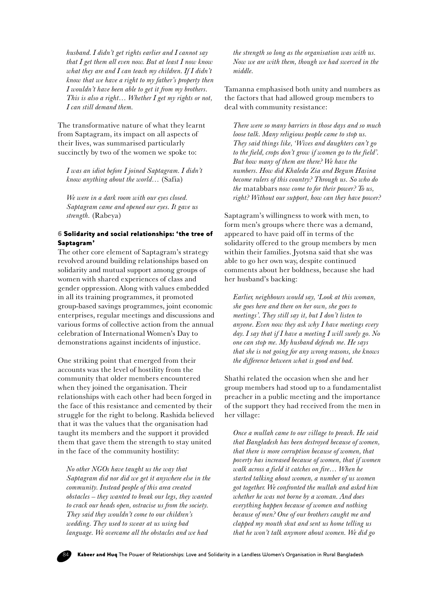*husband. I didn't get rights earlier and I cannot say that I get them all even now. But at least I now know what they are and I can teach my children. If I didn't know that we have a right to my father's property then I wouldn't have been able to get it from my brothers. This is also a right… Whether I get my rights or not, I can still demand them.*

The transformative nature of what they learnt from Saptagram, its impact on all aspects of their lives, was summarised particularly succinctly by two of the women we spoke to:

*I was an idiot before I joined Saptagram. I didn't know anything about the world…* (Safia)

*We were in a dark room with our eyes closed. Saptagram came and opened our eyes. It gave us strength.* (Rabeya)

## 6 Solidarity and social relationships: 'the tree of Saptagram'

The other core element of Saptagram's strategy revolved around building relationships based on solidarity and mutual support among groups of women with shared experiences of class and gender oppression. Along with values embedded in all its training programmes, it promoted group-based savings programmes, joint economic enterprises, regular meetings and discussions and various forms of collective action from the annual celebration of International Women's Day to demonstrations against incidents of injustice.

One striking point that emerged from their accounts was the level of hostility from the community that older members encountered when they joined the organisation. Their relationships with each other had been forged in the face of this resistance and cemented by their struggle for the right to belong. Rashida believed that it was the values that the organisation had taught its members and the support it provided them that gave them the strength to stay united in the face of the community hostility:

*No other NGOs have taught us the way that Saptagram did nor did we get it anywhere else in the community. Instead people of this area created obstacles – they wanted to break our legs, they wanted to crack our heads open, ostracise us from the society. They said they wouldn't come to our children's wedding. They used to swear at us using bad language. We overcame all the obstacles and we had*

*the strength so long as the organisation was with us. Now we are with them, though we had swerved in the middle.*

Tamanna emphasised both unity and numbers as the factors that had allowed group members to deal with community resistance:

*There were so many barriers in those days and so much loose talk. Many religious people came to stop us. They said things like, 'Wives and daughters can't go to the field, crops don't grow if women go to the field'. But how many of them are there? We have the numbers. How did Khaleda Zia and Begum Hasina become rulers of this country? Through us. So who do the* matabbars *now come to for their power? To us, right? Without our support, how can they have power?*

Saptagram's willingness to work with men, to form men's groups where there was a demand, appeared to have paid off in terms of the solidarity offered to the group members by men within their families. Jyotsna said that she was able to go her own way, despite continued comments about her boldness, because she had her husband's backing:

*Earlier, neighbours would say, 'Look at this woman, she goes here and there on her own, she goes to meetings'. They still say it, but I don't listen to anyone. Even now they ask why I have meetings every day. I say that if I have a meeting I will surely go. No one can stop me. My husband defends me. He says that she is not going for any wrong reasons, she knows the difference between what is good and bad.*

Shathi related the occasion when she and her group members had stood up to a fundamentalist preacher in a public meeting and the importance of the support they had received from the men in her village:

*Once a mullah came to our village to preach. He said that Bangladesh has been destroyed because of women, that there is more corruption because of women, that poverty has increased because of women, that if women walk across a field it catches on fire… When he started talking about women, a number of us women got together. We confronted the mullah and asked him whether he was not borne by a woman. And does everything happen because of women and nothing because of men? One of our brothers caught me and clapped my mouth shut and sent us home telling us that he won't talk anymore about women. We did go*

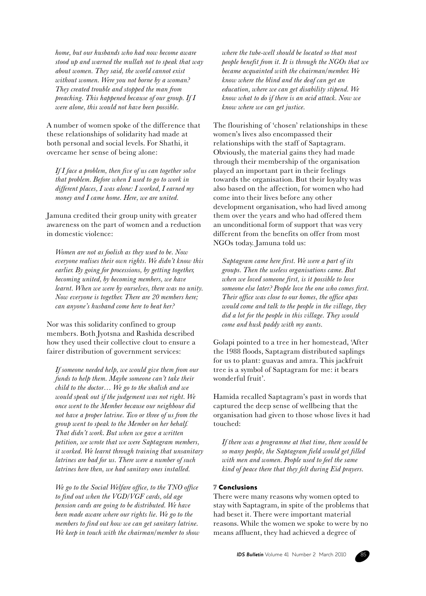*home, but our husbands who had now become aware stood up and warned the mullah not to speak that way about women. They said, the world cannot exist without women. Were you not borne by a woman? They created trouble and stopped the man from preaching. This happened because of our group. If I were alone, this would not have been possible.*

A number of women spoke of the difference that these relationships of solidarity had made at both personal and social levels. For Shathi, it overcame her sense of being alone:

*If I face a problem, then five of us can together solve that problem. Before when I used to go to work in different places, I was alone: I worked, I earned my money and I came home. Here, we are united.*

Jamuna credited their group unity with greater awareness on the part of women and a reduction in domestic violence:

*Women are not as foolish as they used to be. Now everyone realises their own rights. We didn't know this earlier. By going for processions, by getting together, becoming united, by becoming members, we have learnt. When we were by ourselves, there was no unity. Now everyone is together. There are 20 members here; can anyone's husband come here to beat her?*

Nor was this solidarity confined to group members. Both Jyotsna and Rashida described how they used their collective clout to ensure a fairer distribution of government services:

*If someone needed help, we would give them from our funds to help them. Maybe someone can't take their child to the doctor… We go to the shalish and we would speak out if the judgement was not right. We once went to the Member because our neighbour did not have a proper latrine. Two or three of us from the group went to speak to the Member on her behalf. That didn't work. But when we gave a written petition, we wrote that we were Saptagram members, it worked. We learnt through training that unsanitary latrines are bad for us. There were a number of such latrines here then, we had sanitary ones installed.*

*We go to the Social Welfare office, to the TNO office to find out when the VGD/VGF cards, old age pension cards are going to be distributed. We have been made aware where our rights lie. We go to the members to find out how we can get sanitary latrine. We keep in touch with the chairman/member to show* *where the tube-well should be located so that most people benefit from it. It is through the NGOs that we became acquainted with the chairman/member. We know where the blind and the deaf can get an education, where we can get disability stipend. We know what to do if there is an acid attack. Now we know where we can get justice.*

The flourishing of 'chosen' relationships in these women's lives also encompassed their relationships with the staff of Saptagram. Obviously, the material gains they had made through their membership of the organisation played an important part in their feelings towards the organisation. But their loyalty was also based on the affection, for women who had come into their lives before any other development organisation, who had lived among them over the years and who had offered them an unconditional form of support that was very different from the benefits on offer from most NGOs today. Jamuna told us:

*Saptagram came here first. We were a part of its groups. Then the useless organisations came. But when we loved someone first, is it possible to love someone else later? People love the one who comes first. Their office was close to our homes, the office apas would come and talk to the people in the village, they did a lot for the people in this village. They would come and husk paddy with my aunts.*

Golapi pointed to a tree in her homestead, 'After the 1988 floods, Saptagram distributed saplings for us to plant: guavas and amra. This jackfruit tree is a symbol of Saptagram for me: it bears wonderful fruit'.

Hamida recalled Saptagram's past in words that captured the deep sense of wellbeing that the organisation had given to those whose lives it had touched:

*If there was a programme at that time, there would be so many people, the Saptagram field would get filled with men and women. People used to feel the same kind of peace there that they felt during Eid prayers.*

#### 7 Conclusions

There were many reasons why women opted to stay with Saptagram, in spite of the problems that had beset it. There were important material reasons. While the women we spoke to were by no means affluent, they had achieved a degree of

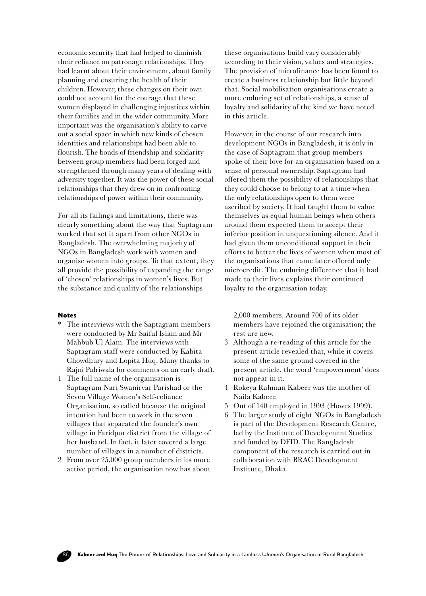economic security that had helped to diminish their reliance on patronage relationships. They had learnt about their environment, about family planning and ensuring the health of their children. However, these changes on their own could not account for the courage that these women displayed in challenging injustices within their families and in the wider community. More important was the organisation's ability to carve out a social space in which new kinds of chosen identities and relationships had been able to flourish. The bonds of friendship and solidarity between group members had been forged and strengthened through many years of dealing with adversity together. It was the power of these social relationships that they drew on in confronting relationships of power within their community.

For all its failings and limitations, there was clearly something about the way that Saptagram worked that set it apart from other NGOs in Bangladesh. The overwhelming majority of NGOs in Bangladesh work with women and organise women into groups. To that extent, they all provide the possibility of expanding the range of 'chosen' relationships in women's lives. But the substance and quality of the relationships

#### **Notes**

- The interviews with the Saptagram members were conducted by Mr Saiful Islam and Mr Mahbub Ul Alam. The interviews with Saptagram staff were conducted by Kabita Chowdhury and Lopita Huq. Many thanks to Rajni Palriwala for comments on an early draft.
- 1 The full name of the organisation is Saptagram Nari Swanirvar Parishad or the Seven Village Women's Self-reliance Organisation, so called because the original intention had been to work in the seven villages that separated the founder's own village in Faridpur district from the village of her husband. In fact, it later covered a large number of villages in a number of districts.
- 2 From over 25,000 group members in its more active period, the organisation now has about

these organisations build vary considerably according to their vision, values and strategies. The provision of microfinance has been found to create a business relationship but little beyond that. Social mobilisation organisations create a more enduring set of relationships, a sense of loyalty and solidarity of the kind we have noted in this article.

However, in the course of our research into development NGOs in Bangladesh, it is only in the case of Saptagram that group members spoke of their love for an organisation based on a sense of personal ownership. Saptagram had offered them the possibility of relationships that they could choose to belong to at a time when the only relationships open to them were ascribed by society. It had taught them to value themselves as equal human beings when others around them expected them to accept their inferior position in unquestioning silence. And it had given them unconditional support in their efforts to better the lives of women when most of the organisations that came later offered only microcredit. The enduring difference that it had made to their lives explains their continued loyalty to the organisation today.

2,000 members. Around 700 of its older members have rejoined the organisation; the rest are new.

- 3 Although a re-reading of this article for the present article revealed that, while it covers some of the same ground covered in the present article, the word 'empowerment' does not appear in it.
- 4 Rokeya Rahman Kabeer was the mother of Naila Kabeer.
- 5 Out of 140 employed in 1993 (Howes 1999).
- 6 The larger study of eight NGOs in Bangladesh is part of the Development Research Centre, led by the Institute of Development Studies and funded by DFID. The Bangladesh component of the research is carried out in collaboration with BRAC Development Institute, Dhaka.